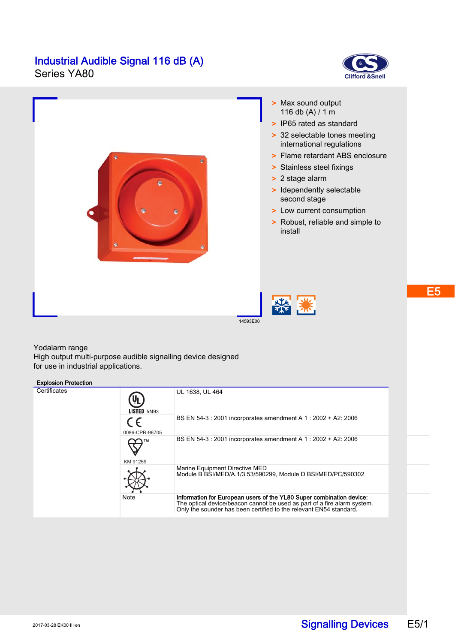# **Industrial Audible Signal 116 dB (A)**<br>Series YA80







14593E00

### Yodalarm range

High output multi-purpose audible signalling device designed for use in industrial applications.

## Explosion Protection

| $-$          |                       |                                                                                                                                                                                                                        |  |  |  |  |  |  |  |
|--------------|-----------------------|------------------------------------------------------------------------------------------------------------------------------------------------------------------------------------------------------------------------|--|--|--|--|--|--|--|
| Certificates | <b>LISTED 5N93</b>    | UL 1638, UL 464                                                                                                                                                                                                        |  |  |  |  |  |  |  |
|              | C E<br>0086-CPR-96705 | BS EN 54-3 : 2001 incorporates amendment A 1 : 2002 + A2: 2006                                                                                                                                                         |  |  |  |  |  |  |  |
|              | KM 91259              | BS EN 54-3 : 2001 incorporates amendment A 1 : 2002 + A2: 2006                                                                                                                                                         |  |  |  |  |  |  |  |
|              |                       | Marine Equipment Directive MED<br>Module B BSI/MED/A 1/3.53/590299, Module D BSI/MED/PC/590302                                                                                                                         |  |  |  |  |  |  |  |
|              | Note                  | Information for European users of the YL80 Super combination device:<br>The optical device/beacon cannot be used as part of a fire alarm system.<br>Only the sounder has been certified to the relevant EN54 standard. |  |  |  |  |  |  |  |

E5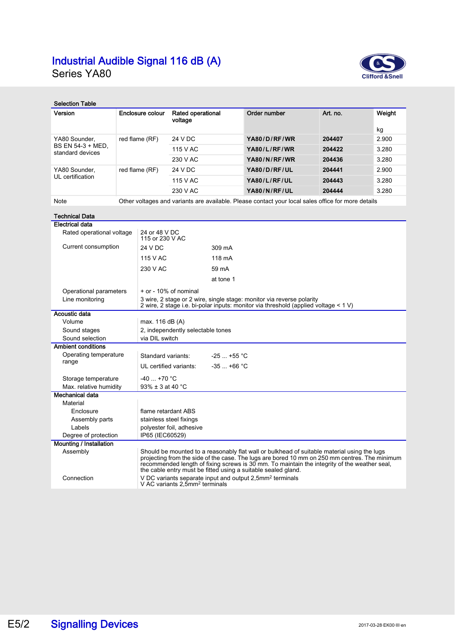# **Industrial Audible Signal 116 dB (A)**<br>Series YA80



| <b>Selection Table</b>                                        |                                                |                                                                                                                                                                                                                                                                                                                                                                                                                                       |                                     |        |              |          |        |  |  |
|---------------------------------------------------------------|------------------------------------------------|---------------------------------------------------------------------------------------------------------------------------------------------------------------------------------------------------------------------------------------------------------------------------------------------------------------------------------------------------------------------------------------------------------------------------------------|-------------------------------------|--------|--------------|----------|--------|--|--|
| Version                                                       |                                                | Enclosure colour                                                                                                                                                                                                                                                                                                                                                                                                                      | <b>Rated operational</b><br>voltage |        | Order number | Art. no. | Weight |  |  |
|                                                               |                                                |                                                                                                                                                                                                                                                                                                                                                                                                                                       |                                     |        |              |          | kg     |  |  |
| YA80 Sounder.<br>BS EN 54-3 + MED.<br>standard devices        |                                                | red flame (RF)                                                                                                                                                                                                                                                                                                                                                                                                                        | 24 V DC                             |        | YA80/D/RF/WR | 204407   | 2.900  |  |  |
|                                                               |                                                |                                                                                                                                                                                                                                                                                                                                                                                                                                       | 115 V AC                            |        | YA80/L/RF/WR | 204422   | 3.280  |  |  |
|                                                               |                                                |                                                                                                                                                                                                                                                                                                                                                                                                                                       | 230 V AC                            |        | YA80/N/RF/WR | 204436   | 3.280  |  |  |
| YA80 Sounder,<br>UL certification                             | red flame (RF)                                 |                                                                                                                                                                                                                                                                                                                                                                                                                                       | 24 V DC                             |        | YA80/D/RF/UL | 204441   | 2.900  |  |  |
|                                                               |                                                |                                                                                                                                                                                                                                                                                                                                                                                                                                       | 115 V AC                            |        | YA80/L/RF/UL | 204443   | 3.280  |  |  |
|                                                               |                                                |                                                                                                                                                                                                                                                                                                                                                                                                                                       | 230 V AC                            |        | YA80/N/RF/UL | 204444   | 3.280  |  |  |
| Note                                                          |                                                | Other voltages and variants are available. Please contact your local sales office for more details                                                                                                                                                                                                                                                                                                                                    |                                     |        |              |          |        |  |  |
| <b>Technical Data</b>                                         |                                                |                                                                                                                                                                                                                                                                                                                                                                                                                                       |                                     |        |              |          |        |  |  |
| <b>Electrical data</b>                                        |                                                |                                                                                                                                                                                                                                                                                                                                                                                                                                       |                                     |        |              |          |        |  |  |
| Rated operational voltage<br>24 or 48 V DC<br>115 or 230 V AC |                                                |                                                                                                                                                                                                                                                                                                                                                                                                                                       |                                     |        |              |          |        |  |  |
| Current consumption                                           |                                                | 24 V DC<br>309 mA                                                                                                                                                                                                                                                                                                                                                                                                                     |                                     |        |              |          |        |  |  |
|                                                               |                                                | 115 V AC                                                                                                                                                                                                                                                                                                                                                                                                                              |                                     | 118 mA |              |          |        |  |  |
|                                                               |                                                | 230 V AC                                                                                                                                                                                                                                                                                                                                                                                                                              |                                     | 59 mA  |              |          |        |  |  |
|                                                               |                                                |                                                                                                                                                                                                                                                                                                                                                                                                                                       | at tone 1                           |        |              |          |        |  |  |
| Operational parameters                                        |                                                |                                                                                                                                                                                                                                                                                                                                                                                                                                       | + or - 10% of nominal               |        |              |          |        |  |  |
| Line monitoring                                               |                                                | 3 wire, 2 stage or 2 wire, single stage: monitor via reverse polarity<br>2 wire, 2 stage i.e. bi-polar inputs: monitor via threshold (applied voltage < 1 V)                                                                                                                                                                                                                                                                          |                                     |        |              |          |        |  |  |
| Acoustic data                                                 |                                                |                                                                                                                                                                                                                                                                                                                                                                                                                                       |                                     |        |              |          |        |  |  |
| Volume                                                        |                                                |                                                                                                                                                                                                                                                                                                                                                                                                                                       | max. 116 dB (A)                     |        |              |          |        |  |  |
|                                                               | Sound stages                                   |                                                                                                                                                                                                                                                                                                                                                                                                                                       | 2, independently selectable tones   |        |              |          |        |  |  |
| Sound selection                                               |                                                |                                                                                                                                                                                                                                                                                                                                                                                                                                       | via DIL switch                      |        |              |          |        |  |  |
| <b>Ambient conditions</b>                                     |                                                |                                                                                                                                                                                                                                                                                                                                                                                                                                       |                                     |        |              |          |        |  |  |
| Operating temperature<br>range                                |                                                | $-25$ +55 °C<br>Standard variants:                                                                                                                                                                                                                                                                                                                                                                                                    |                                     |        |              |          |        |  |  |
|                                                               |                                                | $-35$ $+66$ °C<br>UL certified variants:                                                                                                                                                                                                                                                                                                                                                                                              |                                     |        |              |          |        |  |  |
| Storage temperature                                           |                                                | $-40+70$ °C                                                                                                                                                                                                                                                                                                                                                                                                                           |                                     |        |              |          |        |  |  |
|                                                               | 93% $\pm$ 3 at 40 °C<br>Max. relative humidity |                                                                                                                                                                                                                                                                                                                                                                                                                                       |                                     |        |              |          |        |  |  |
| Mechanical data                                               |                                                |                                                                                                                                                                                                                                                                                                                                                                                                                                       |                                     |        |              |          |        |  |  |
| Material                                                      |                                                |                                                                                                                                                                                                                                                                                                                                                                                                                                       |                                     |        |              |          |        |  |  |
| Enclosure                                                     |                                                | flame retardant ABS                                                                                                                                                                                                                                                                                                                                                                                                                   |                                     |        |              |          |        |  |  |
| Assembly parts                                                |                                                | stainless steel fixings<br>polyester foil, adhesive                                                                                                                                                                                                                                                                                                                                                                                   |                                     |        |              |          |        |  |  |
| Labels                                                        |                                                | IP65 (IEC60529)                                                                                                                                                                                                                                                                                                                                                                                                                       |                                     |        |              |          |        |  |  |
| Mounting / Installation                                       | Degree of protection                           |                                                                                                                                                                                                                                                                                                                                                                                                                                       |                                     |        |              |          |        |  |  |
| Assembly<br>Connection                                        |                                                | Should be mounted to a reasonably flat wall or bulkhead of suitable material using the lugs<br>projecting from the side of the case. The lugs are bored 10 mm on 250 mm centres. The minimum<br>recommended length of fixing screws is 30 mm. To maintain the integrity of the weather seal,<br>the cable entry must be fitted using a suitable sealed gland.<br>V DC variants separate input and output 2,5mm <sup>2</sup> terminals |                                     |        |              |          |        |  |  |
|                                                               |                                                | V AC variants 2,5mm <sup>2</sup> terminals                                                                                                                                                                                                                                                                                                                                                                                            |                                     |        |              |          |        |  |  |